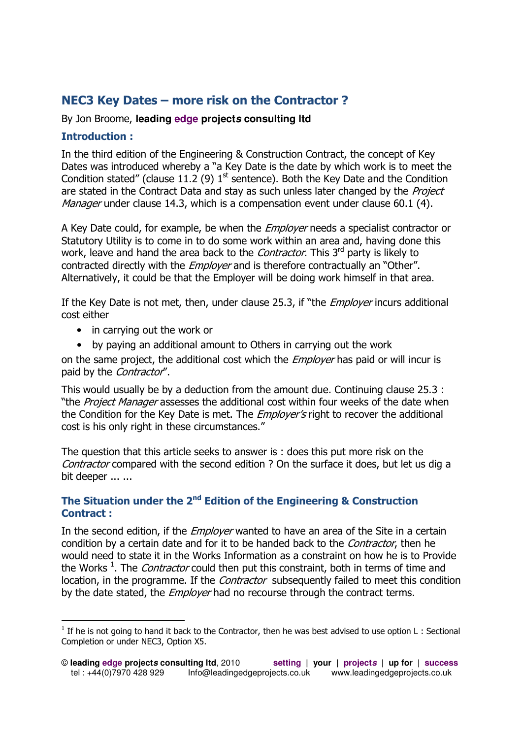# **NEC3 Key Dates – more risk on the Contractor ?**

### By Jon Broome, **leading edge projects consulting ltd**

### **Introduction :**

-

In the third edition of the Engineering & Construction Contract, the concept of Key Dates was introduced whereby a "a Key Date is the date by which work is to meet the Condition stated" (clause 11.2 (9)  $1<sup>st</sup>$  sentence). Both the Key Date and the Condition are stated in the Contract Data and stay as such unless later changed by the *Project* Manager under clause 14.3, which is a compensation event under clause 60.1 (4).

A Key Date could, for example, be when the *Employer* needs a specialist contractor or Statutory Utility is to come in to do some work within an area and, having done this work, leave and hand the area back to the *Contractor*. This 3<sup>rd</sup> party is likely to contracted directly with the *Employer* and is therefore contractually an "Other". Alternatively, it could be that the Employer will be doing work himself in that area.

If the Key Date is not met, then, under clause 25.3, if "the *Employer* incurs additional cost either

- in carrying out the work or
- by paying an additional amount to Others in carrying out the work

on the same project, the additional cost which the *Employer* has paid or will incur is paid by the *Contractor''*.

This would usually be by a deduction from the amount due. Continuing clause 25.3 : "the Project Manager assesses the additional cost within four weeks of the date when the Condition for the Key Date is met. The *Employer's* right to recover the additional cost is his only right in these circumstances."

The question that this article seeks to answer is : does this put more risk on the Contractor compared with the second edition ? On the surface it does, but let us dig a bit deeper ... ...

# **The Situation under the 2nd Edition of the Engineering & Construction Contract :**

In the second edition, if the *Employer* wanted to have an area of the Site in a certain condition by a certain date and for it to be handed back to the *Contractor*, then he would need to state it in the Works Information as a constraint on how he is to Provide the Works<sup>1</sup>. The *Contractor* could then put this constraint, both in terms of time and location, in the programme. If the *Contractor* subsequently failed to meet this condition by the date stated, the *Employer* had no recourse through the contract terms.

 $1$  If he is not going to hand it back to the Contractor, then he was best advised to use option L : Sectional Completion or under NEC3, Option X5.

<sup>©</sup> **leading edge projects consulting ltd**, 2010 **setting | your | projects | up for | success** tel : +44(0)7970 428 929 Info@leadingedgeprojects.co.uk www.leadingedgeprojects.co.uk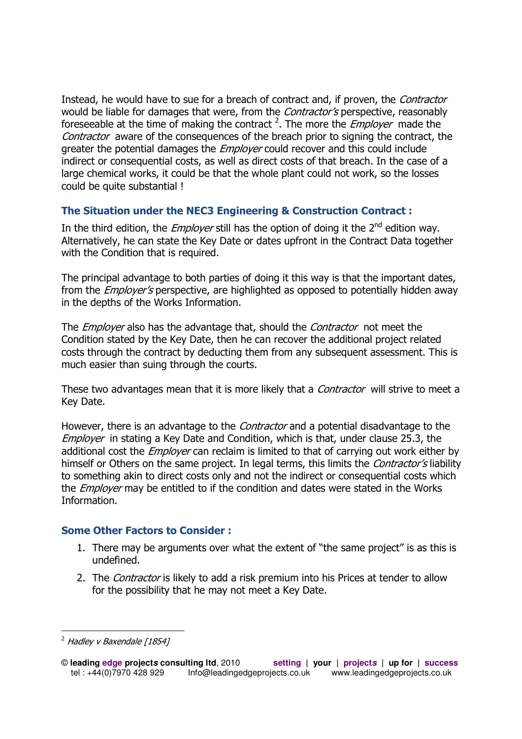Instead, he would have to sue for a breach of contract and, if proven, the *Contractor* would be liable for damages that were, from the *Contractor's* perspective, reasonably foreseeable at the time of making the contract <sup>2</sup>. The more the *Employer* made the Contractor aware of the consequences of the breach prior to signing the contract, the greater the potential damages the *Employer* could recover and this could include indirect or consequential costs, as well as direct costs of that breach. In the case of a large chemical works, it could be that the whole plant could not work, so the losses could be quite substantial !

## **The Situation under the NEC3 Engineering & Construction Contract :**

In the third edition, the *Employer* still has the option of doing it the  $2^{nd}$  edition way. Alternatively, he can state the Key Date or dates upfront in the Contract Data together with the Condition that is required.

The principal advantage to both parties of doing it this way is that the important dates, from the *Employer's* perspective, are highlighted as opposed to potentially hidden away in the depths of the Works Information.

The *Employer* also has the advantage that, should the *Contractor* not meet the Condition stated by the Key Date, then he can recover the additional project related costs through the contract by deducting them from any subsequent assessment. This is much easier than suing through the courts.

These two advantages mean that it is more likely that a *Contractor* will strive to meet a Key Date.

However, there is an advantage to the *Contractor* and a potential disadvantage to the Employer in stating a Key Date and Condition, which is that, under clause 25.3, the additional cost the *Employer* can reclaim is limited to that of carrying out work either by himself or Others on the same project. In legal terms, this limits the *Contractor's* liability to something akin to direct costs only and not the indirect or consequential costs which the *Employer* may be entitled to if the condition and dates were stated in the Works Information.

## **Some Other Factors to Consider :**

- 1. There may be arguments over what the extent of "the same project" is as this is undefined.
- 2. The *Contractor* is likely to add a risk premium into his Prices at tender to allow for the possibility that he may not meet a Key Date.

<sup>-</sup><sup>2</sup> Hadley v Baxendale [1854]

<sup>©</sup> **leading edge projects consulting ltd**, 2010 **setting | your | projects | up for | success** tel : +44(0)7970 428 929 Info@leadingedgeprojects.co.uk www.leadingedgeprojects.co.uk